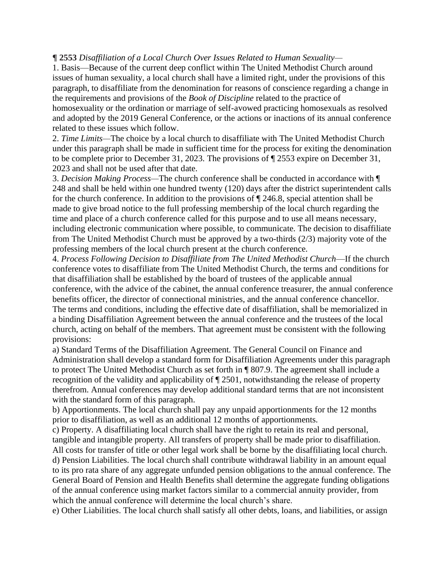## **¶ 2553** *Disaffiliation of a Local Church Over Issues Related to Human Sexuality—*

1. Basis—Because of the current deep conflict within The United Methodist Church around issues of human sexuality, a local church shall have a limited right, under the provisions of this paragraph, to disaffiliate from the denomination for reasons of conscience regarding a change in the requirements and provisions of the *Book of Discipline* related to the practice of homosexuality or the ordination or marriage of self-avowed practicing homosexuals as resolved and adopted by the 2019 General Conference, or the actions or inactions of its annual conference related to these issues which follow.

2. *Time Limits—*The choice by a local church to disaffiliate with The United Methodist Church under this paragraph shall be made in sufficient time for the process for exiting the denomination to be complete prior to December 31, 2023. The provisions of ¶ 2553 expire on December 31, 2023 and shall not be used after that date.

3. *Decision Making Process—*The church conference shall be conducted in accordance with ¶ 248 and shall be held within one hundred twenty (120) days after the district superintendent calls for the church conference. In addition to the provisions of ¶ 246.8, special attention shall be made to give broad notice to the full professing membership of the local church regarding the time and place of a church conference called for this purpose and to use all means necessary, including electronic communication where possible, to communicate. The decision to disaffiliate from The United Methodist Church must be approved by a two-thirds (2/3) majority vote of the professing members of the local church present at the church conference.

4. *Process Following Decision to Disaffiliate from The United Methodist Church*—If the church conference votes to disaffiliate from The United Methodist Church, the terms and conditions for that disaffiliation shall be established by the board of trustees of the applicable annual conference, with the advice of the cabinet, the annual conference treasurer, the annual conference benefits officer, the director of connectional ministries, and the annual conference chancellor. The terms and conditions, including the effective date of disaffiliation, shall be memorialized in a binding Disaffiliation Agreement between the annual conference and the trustees of the local church, acting on behalf of the members. That agreement must be consistent with the following provisions:

a) Standard Terms of the Disaffiliation Agreement. The General Council on Finance and Administration shall develop a standard form for Disaffiliation Agreements under this paragraph to protect The United Methodist Church as set forth in ¶ 807.9. The agreement shall include a recognition of the validity and applicability of ¶ 2501, notwithstanding the release of property therefrom. Annual conferences may develop additional standard terms that are not inconsistent with the standard form of this paragraph.

b) Apportionments. The local church shall pay any unpaid apportionments for the 12 months prior to disaffiliation, as well as an additional 12 months of apportionments.

c) Property. A disaffiliating local church shall have the right to retain its real and personal, tangible and intangible property. All transfers of property shall be made prior to disaffiliation.

All costs for transfer of title or other legal work shall be borne by the disaffiliating local church. d) Pension Liabilities. The local church shall contribute withdrawal liability in an amount equal to its pro rata share of any aggregate unfunded pension obligations to the annual conference. The General Board of Pension and Health Benefits shall determine the aggregate funding obligations of the annual conference using market factors similar to a commercial annuity provider, from which the annual conference will determine the local church's share.

e) Other Liabilities. The local church shall satisfy all other debts, loans, and liabilities, or assign